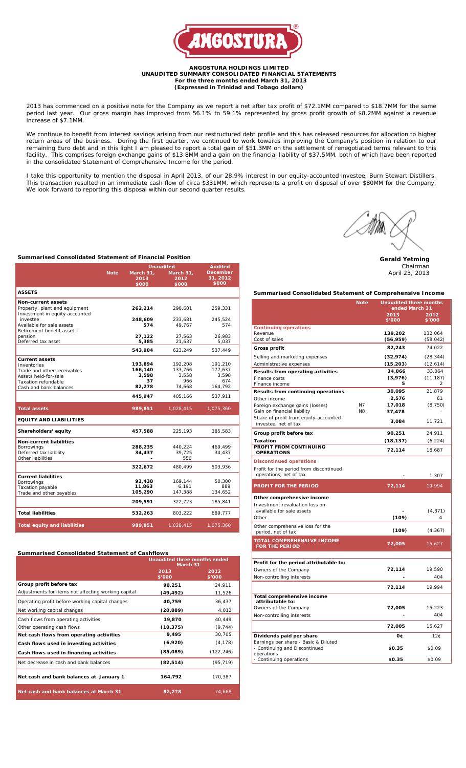

#### **ANGOSTURA HOLDINGS LIMITED UNAUDITED SUMMARY CONSOLIDATED FINANCIAL STATEMENTS For the three months ended March 31, 2013 (Expressed in Trinidad and Tobago dollars)**

2013 has commenced on a positive note for the Company as we report a net after tax profit of \$72.1MM compared to \$18.7MM for the same period last year. Our gross margin has improved from 56.1% to 59.1% represented by gross profit growth of \$8.2MM against a revenue increase of \$7.1MM.

We continue to benefit from interest savings arising from our restructured debt profile and this has released resources for allocation to higher return areas of the business. During the first quarter, we continued to work towards improving the Company's position in relation to our remaining Euro debt and in this light I am pleased to report a total gain of \$51.3MM on the settlement of renegotiated terms relevant to this facility. This comprises foreign exchange gains of \$13.8MM and a gain on the financial liability of \$37.5MM, both of which have been reported in the consolidated Statement of Comprehensive Income for the period.

I take this opportunity to mention the disposal in April 2013, of our 28.9% interest in our equity-accounted investee, Burn Stewart Distillers. This transaction resulted in an immediate cash flow of circa \$331MM, which represents a profit on disposal of over \$80MM for the Company. We look forward to reporting this disposal within our second quarter results.



**Gerald Yetming** Chairman April 23, 2013

**Summarised Consolidated Statement of Financial Position**

|                                                     |             | <b>Unaudited</b><br><b>Audited</b> |                    |                    |  |  |  |
|-----------------------------------------------------|-------------|------------------------------------|--------------------|--------------------|--|--|--|
|                                                     | <b>Note</b> | March 31,                          | March 31,          | <b>December</b>    |  |  |  |
|                                                     |             | 2013                               | 2012               | 31, 2012           |  |  |  |
|                                                     |             | \$000                              | \$000              | \$000              |  |  |  |
| <b>ASSETS</b>                                       |             |                                    |                    |                    |  |  |  |
| <b>Non-current assets</b>                           |             |                                    |                    |                    |  |  |  |
| Property, plant and equipment                       |             | 262,214                            | 290,601            | 259,331            |  |  |  |
| Investment in equity accounted<br>investee          |             | 248,609                            | 233,681            | 245,524            |  |  |  |
| Available for sale assets                           |             | 574                                | 49,767             | 574                |  |  |  |
| Retirement benefit asset -                          |             |                                    |                    |                    |  |  |  |
| pension<br>Deferred tax asset                       |             | 27,122                             | 27,563             | 26,983             |  |  |  |
|                                                     |             | 5,385                              | 21,637             | 5,037              |  |  |  |
|                                                     |             | 543,904                            | 623,249            | 537,449            |  |  |  |
| <b>Current assets</b>                               |             |                                    |                    |                    |  |  |  |
| Inventories                                         |             | 193,894<br>166,140                 | 192,208<br>133,766 | 191,210<br>177,637 |  |  |  |
| Trade and other receivables<br>Assets held-for-sale |             | 3,598                              | 3.558              | 3.598              |  |  |  |
| Taxation refundable                                 |             | 37                                 | 966                | 674                |  |  |  |
| Cash and bank balances                              |             | 82,278                             | 74.668             | 164,792            |  |  |  |
|                                                     |             | 445,947                            | 405,166            | 537,911            |  |  |  |
| <b>Total assets</b>                                 |             | 989,851                            | 1,028,415          | 1,075,360          |  |  |  |
| <b>EQUITY AND LIABILITIES</b>                       |             |                                    |                    |                    |  |  |  |
| Shareholders' equity                                |             | 457,588                            | 225,193            | 385,583            |  |  |  |
| <b>Non-current liabilities</b>                      |             |                                    |                    |                    |  |  |  |
| Borrowings                                          |             | 288,235                            | 440,224            | 469,499            |  |  |  |
| Deferred tax liability<br>Other liabilities         |             | 34,437                             | 39.725<br>550      | 34,437             |  |  |  |
|                                                     |             |                                    |                    |                    |  |  |  |
|                                                     |             | 322,672                            | 480,499            | 503,936            |  |  |  |
| <b>Current liabilities</b>                          |             |                                    |                    |                    |  |  |  |
| Borrowings                                          |             | 92,438<br>11,863                   | 169,144<br>6,191   | 50,300<br>889      |  |  |  |
| Taxation payable<br>Trade and other payables        |             | 105,290                            | 147,388            | 134,652            |  |  |  |
|                                                     |             | 209,591                            | 322,723            | 185,841            |  |  |  |
| <b>Total liabilities</b>                            |             | 532,263                            | 803,222            | 689,777            |  |  |  |
|                                                     |             |                                    |                    |                    |  |  |  |
| <b>Total equity and liabilities</b>                 |             | 989,851                            | 1,028,415          | 1,075,360          |  |  |  |

| <b>Summarised Consolidated Statement of Cashflows</b> |                                          |                |  |
|-------------------------------------------------------|------------------------------------------|----------------|--|
|                                                       | Unaudited three months ended<br>March 31 |                |  |
|                                                       | 2013<br>\$'000                           | 2012<br>\$'000 |  |
| Group profit before tax                               | 90.251                                   | 24.911         |  |
| Adjustments for items not affecting working capital   | (49, 492)                                | 11,526         |  |
| Operating profit before working capital changes       | 40.759                                   | 36.437         |  |

| Net working capital changes              | (20, 889) | 4,012     |
|------------------------------------------|-----------|-----------|
| Cash flows from operating activities     | 19,870    | 40.449    |
| Other operating cash flows               | (10, 375) | (9, 744)  |
| Net cash flows from operating activities | 9,495     | 30.705    |
| Cash flows used in investing activities  | (6,920)   | (4, 178)  |
| Cash flows used in financing activities  | (85,089)  | (122.246) |
| Net decrease in cash and bank balances   | (82, 514) | (95.719)  |
| Net cash and bank balances at January 1  | 164.792   | 170.387   |
| Net cash and bank balances at March 31   | 82.278    | 74.668    |

### **Summarised Consolidated Statement of Comprehensive Income**

|                                                                       | <b>Note</b>    | <b>Unaudited three months</b><br>ended March 31 |           |  |
|-----------------------------------------------------------------------|----------------|-------------------------------------------------|-----------|--|
|                                                                       |                | 2013                                            | 2012      |  |
|                                                                       |                | \$'000                                          | \$'000    |  |
| <b>Continuing operations</b>                                          |                |                                                 |           |  |
| Revenue                                                               |                | 139,202                                         | 132,064   |  |
| Cost of sales                                                         |                | (56, 959)                                       | (58, 042) |  |
| <b>Gross profit</b>                                                   |                | 82,243                                          | 74,022    |  |
| Selling and marketing expenses                                        |                | (32, 974)                                       | (28, 344) |  |
| Administrative expenses                                               |                | (15, 203)                                       | (12, 614) |  |
| Results from operating activities                                     |                | 34,066                                          | 33,064    |  |
| Finance costs                                                         |                | (3,976)                                         | (11, 187) |  |
| Finance income                                                        |                | 5                                               | 2         |  |
| Results from continuing operations                                    |                | 30,095                                          | 21,879    |  |
| Other income                                                          |                | 2,576                                           | 61        |  |
| Foreign exchange gains (losses)                                       | N7             | 17,018                                          | (8, 750)  |  |
| Gain on financial liability<br>Share of profit from equity-accounted  | N <sub>8</sub> | 37,478                                          |           |  |
| investee, net of tax                                                  |                | 3,084                                           | 11,721    |  |
| Group profit before tax                                               |                | 90,251                                          | 24.911    |  |
| Taxation                                                              |                | (18, 137)                                       | (6, 224)  |  |
| PROFIT FROM CONTINUING<br><b>OPERATIONS</b>                           |                | 72,114                                          | 18,687    |  |
| <b>Discontinued operations</b>                                        |                |                                                 |           |  |
| Profit for the period from discontinued                               |                |                                                 |           |  |
| operations, net of tax                                                |                |                                                 | 1,307     |  |
| PROFIT FOR THE PERIOD                                                 |                | 72,114                                          | 19,994    |  |
| Other comprehensive income                                            |                |                                                 |           |  |
| Investment revaluation loss on                                        |                |                                                 |           |  |
| available for sale assets                                             |                |                                                 | (4, 371)  |  |
| Other                                                                 |                | (109)                                           | 4         |  |
| Other comprehensive loss for the                                      |                |                                                 |           |  |
| period, net of tax                                                    |                | (109)                                           | (4, 367)  |  |
| <b>TOTAL COMPREHENSIVE INCOME</b><br><b>FOR THE PERIOD</b>            |                | 72,005                                          | 15,627    |  |
|                                                                       |                |                                                 |           |  |
| Profit for the period attributable to:                                |                |                                                 |           |  |
| Owners of the Company                                                 |                | 72,114                                          | 19,590    |  |
| Non-controlling interests                                             |                |                                                 | 404       |  |
|                                                                       |                | 72,114                                          | 19,994    |  |
| Total comprehensive income                                            |                |                                                 |           |  |
| attributable to:                                                      |                |                                                 |           |  |
| Owners of the Company                                                 |                | 72,005                                          | 15,223    |  |
| Non-controlling interests                                             |                |                                                 | 404       |  |
|                                                                       |                | 72,005                                          | 15,627    |  |
| Dividends paid per share                                              |                | О¢                                              | 12C       |  |
| Earnings per share - Basic & Diluted<br>- Continuing and Discontinued |                | \$0.35                                          | \$0.09    |  |
| operations                                                            |                |                                                 |           |  |
| - Continuing operations                                               |                | \$0.35                                          | \$0.09    |  |